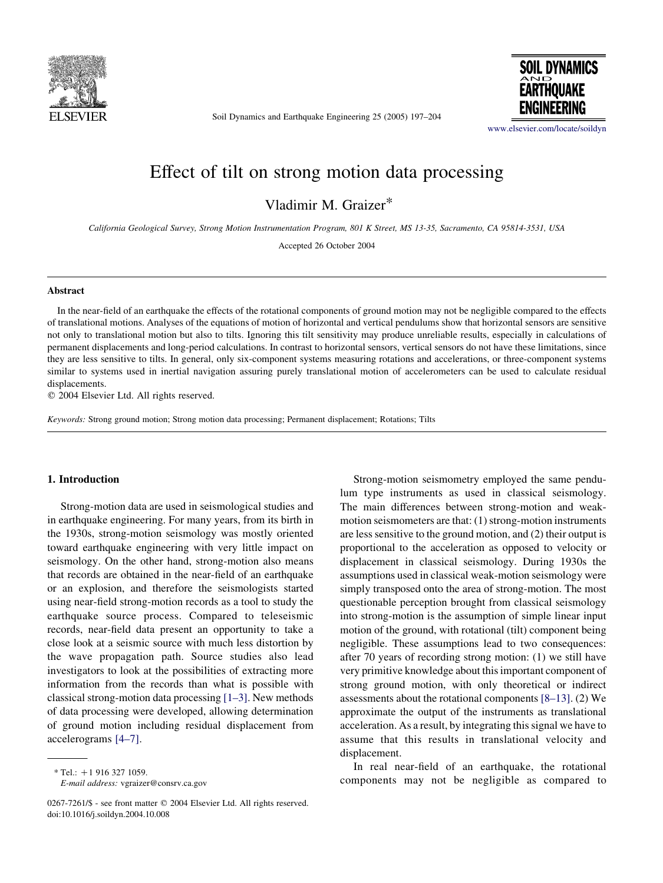

Soil Dynamics and Earthquake Engineering 25 (2005) 197–204

**SOIL DYNAMICS EARTHOUAKE** ENGINEERING

[www.elsevier.com/locate/soildyn](http://www.elsevier.com/locate/soildyn)

# Effect of tilt on strong motion data processing

Vladimir M. Graizer\*

California Geological Survey, Strong Motion Instrumentation Program, 801 K Street, MS 13-35, Sacramento, CA 95814-3531, USA

Accepted 26 October 2004

#### Abstract

In the near-field of an earthquake the effects of the rotational components of ground motion may not be negligible compared to the effects of translational motions. Analyses of the equations of motion of horizontal and vertical pendulums show that horizontal sensors are sensitive not only to translational motion but also to tilts. Ignoring this tilt sensitivity may produce unreliable results, especially in calculations of permanent displacements and long-period calculations. In contrast to horizontal sensors, vertical sensors do not have these limitations, since they are less sensitive to tilts. In general, only six-component systems measuring rotations and accelerations, or three-component systems similar to systems used in inertial navigation assuring purely translational motion of accelerometers can be used to calculate residual displacements.

 $©$  2004 Elsevier Ltd. All rights reserved.

Keywords: Strong ground motion; Strong motion data processing; Permanent displacement; Rotations; Tilts

#### 1. Introduction

Strong-motion data are used in seismological studies and in earthquake engineering. For many years, from its birth in the 1930s, strong-motion seismology was mostly oriented toward earthquake engineering with very little impact on seismology. On the other hand, strong-motion also means that records are obtained in the near-field of an earthquake or an explosion, and therefore the seismologists started using near-field strong-motion records as a tool to study the earthquake source process. Compared to teleseismic records, near-field data present an opportunity to take a close look at a seismic source with much less distortion by the wave propagation path. Source studies also lead investigators to look at the possibilities of extracting more information from the records than what is possible with classical strong-motion data processing [\[1–3\]](#page-7-0). New methods of data processing were developed, allowing determination of ground motion including residual displacement from accelerograms [\[4–7\]](#page-7-0).

E-mail address: vgraizer@consrv.ca.gov

Strong-motion seismometry employed the same pendulum type instruments as used in classical seismology. The main differences between strong-motion and weakmotion seismometers are that: (1) strong-motion instruments are less sensitive to the ground motion, and (2) their output is proportional to the acceleration as opposed to velocity or displacement in classical seismology. During 1930s the assumptions used in classical weak-motion seismology were simply transposed onto the area of strong-motion. The most questionable perception brought from classical seismology into strong-motion is the assumption of simple linear input motion of the ground, with rotational (tilt) component being negligible. These assumptions lead to two consequences: after 70 years of recording strong motion: (1) we still have very primitive knowledge about this important component of strong ground motion, with only theoretical or indirect assessments about the rotational components [\[8–13\]](#page-7-0). (2) We approximate the output of the instruments as translational acceleration. As a result, by integrating this signal we have to assume that this results in translational velocity and displacement.

In real near-field of an earthquake, the rotational components may not be negligible as compared to

 $*$  Tel.: +1 916 327 1059.

<sup>0267-7261/\$ -</sup> see front matter © 2004 Elsevier Ltd. All rights reserved. doi:10.1016/j.soildyn.2004.10.008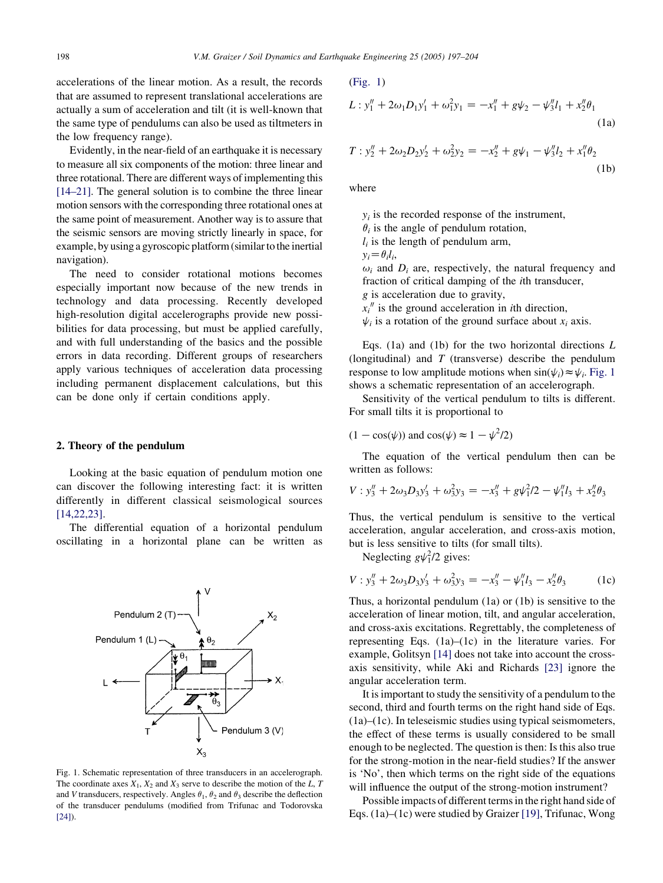accelerations of the linear motion. As a result, the records that are assumed to represent translational accelerations are actually a sum of acceleration and tilt (it is well-known that the same type of pendulums can also be used as tiltmeters in the low frequency range).

Evidently, in the near-field of an earthquake it is necessary to measure all six components of the motion: three linear and three rotational. There are different ways of implementing this [\[14–21\].](#page-7-0) The general solution is to combine the three linear motion sensors with the corresponding three rotational ones at the same point of measurement. Another way is to assure that the seismic sensors are moving strictly linearly in space, for example, by using a gyroscopic platform (similar to the inertial navigation).

The need to consider rotational motions becomes especially important now because of the new trends in technology and data processing. Recently developed high-resolution digital accelerographs provide new possibilities for data processing, but must be applied carefully, and with full understanding of the basics and the possible errors in data recording. Different groups of researchers apply various techniques of acceleration data processing including permanent displacement calculations, but this can be done only if certain conditions apply.

### 2. Theory of the pendulum

Looking at the basic equation of pendulum motion one can discover the following interesting fact: it is written differently in different classical seismological sources [\[14,22,23\]](#page-7-0).

The differential equation of a horizontal pendulum oscillating in a horizontal plane can be written as



Fig. 1. Schematic representation of three transducers in an accelerograph. The coordinate axes  $X_1$ ,  $X_2$  and  $X_3$  serve to describe the motion of the L, T and V transducers, respectively. Angles  $\theta_1$ ,  $\theta_2$  and  $\theta_3$  describe the deflection of the transducer pendulums (modified from Trifunac and Todorovska [\[24\]\)](#page-7-0).

$$
(Fig. 1)
$$

$$
L: y_1'' + 2\omega_1 D_1 y_1' + \omega_1^2 y_1 = -x_1'' + g\psi_2 - \psi_3'' l_1 + x_2'' \theta_1
$$
\n(1a)

$$
T: y_2'' + 2\omega_2 D_2 y_2' + \omega_2^2 y_2 = -x_2'' + g\psi_1 - \psi_3'' l_2 + x_1'' \theta_2
$$
\n(1b)

where

 $y_i$  is the recorded response of the instrument,  $\theta_i$  is the angle of pendulum rotation,  $l_i$  is the length of pendulum arm,  $y_i = \theta_i l_i$  $\omega_i$  and  $D_i$  are, respectively, the natural frequency and fraction of critical damping of the ith transducer, g is acceleration due to gravity,  $x_i$ <sup>"</sup> is the ground acceleration in *i*th direction,  $\psi_i$  is a rotation of the ground surface about  $x_i$  axis.

Eqs. (1a) and (1b) for the two horizontal directions  $L$ (longitudinal) and  $T$  (transverse) describe the pendulum response to low amplitude motions when  $\sin(\psi_i) \approx \psi_i$ . Fig. 1 shows a schematic representation of an accelerograph.

Sensitivity of the vertical pendulum to tilts is different. For small tilts it is proportional to

$$
(1 - \cos(\psi))
$$
 and  $\cos(\psi) \approx 1 - \psi^2/2$ )

The equation of the vertical pendulum then can be written as follows:

$$
V: y_3'' + 2\omega_3 D_3 y_3' + \omega_3^2 y_3 = -x_3'' + g\psi_1^2/2 - \psi_1'' l_3 + x_2'' \theta_3
$$

Thus, the vertical pendulum is sensitive to the vertical acceleration, angular acceleration, and cross-axis motion, but is less sensitive to tilts (for small tilts).

Neglecting  $g\psi_1^2/2$  gives:

$$
V: y_3'' + 2\omega_3 D_3 y_3' + \omega_3^2 y_3 = -x_3'' - \psi_1'' l_3 - x_2'' \theta_3 \tag{1c}
$$

Thus, a horizontal pendulum (1a) or (1b) is sensitive to the acceleration of linear motion, tilt, and angular acceleration, and cross-axis excitations. Regrettably, the completeness of representing Eqs. (1a)–(1c) in the literature varies. For example, Golitsyn [\[14\]](#page-7-0) does not take into account the crossaxis sensitivity, while Aki and Richards [\[23\]](#page-7-0) ignore the angular acceleration term.

It is important to study the sensitivity of a pendulum to the second, third and fourth terms on the right hand side of Eqs. (1a)–(1c). In teleseismic studies using typical seismometers, the effect of these terms is usually considered to be small enough to be neglected. The question is then: Is this also true for the strong-motion in the near-field studies? If the answer is 'No', then which terms on the right side of the equations will influence the output of the strong-motion instrument?

Possible impacts of different terms in the right hand side of Eqs. (1a)–(1c) were studied by Graizer [\[19\],](#page-7-0) Trifunac, Wong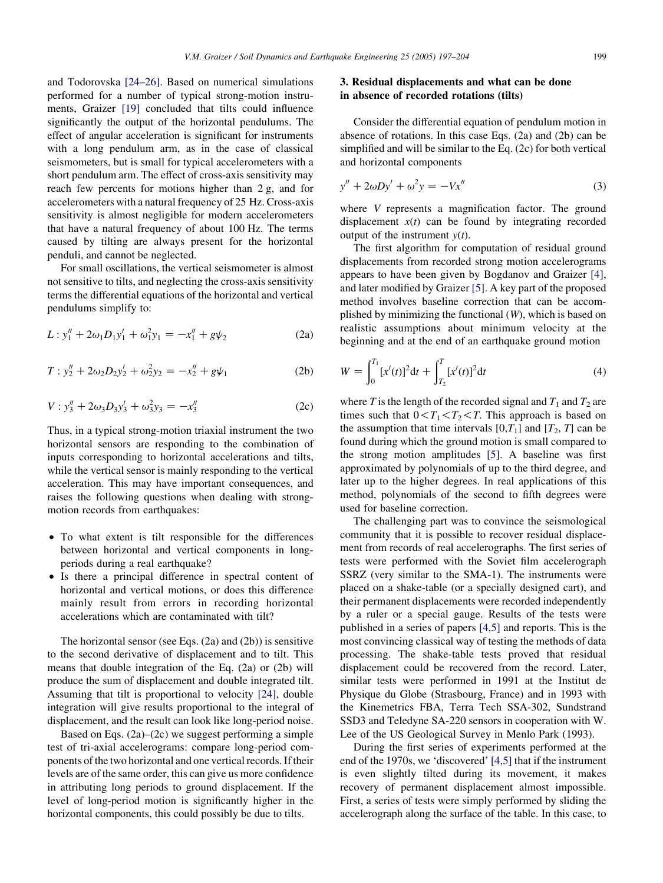and Todorovska [\[24–26\].](#page-7-0) Based on numerical simulations performed for a number of typical strong-motion instruments, Graizer [\[19\]](#page-7-0) concluded that tilts could influence significantly the output of the horizontal pendulums. The effect of angular acceleration is significant for instruments with a long pendulum arm, as in the case of classical seismometers, but is small for typical accelerometers with a short pendulum arm. The effect of cross-axis sensitivity may reach few percents for motions higher than 2 g, and for accelerometers with a natural frequency of 25 Hz. Cross-axis sensitivity is almost negligible for modern accelerometers that have a natural frequency of about 100 Hz. The terms caused by tilting are always present for the horizontal penduli, and cannot be neglected.

For small oscillations, the vertical seismometer is almost not sensitive to tilts, and neglecting the cross-axis sensitivity terms the differential equations of the horizontal and vertical pendulums simplify to:

$$
L: y_1'' + 2\omega_1 D_1 y_1' + \omega_1^2 y_1 = -x_1'' + g\psi_2 \tag{2a}
$$

$$
T: y_2'' + 2\omega_2 D_2 y_2' + \omega_2^2 y_2 = -x_2'' + g\psi_1 \tag{2b}
$$

$$
V: y_3'' + 2\omega_3 D_3 y_3' + \omega_3^2 y_3 = -x_3''
$$
 (2c)

Thus, in a typical strong-motion triaxial instrument the two horizontal sensors are responding to the combination of inputs corresponding to horizontal accelerations and tilts, while the vertical sensor is mainly responding to the vertical acceleration. This may have important consequences, and raises the following questions when dealing with strongmotion records from earthquakes:

- To what extent is tilt responsible for the differences between horizontal and vertical components in longperiods during a real earthquake?
- † Is there a principal difference in spectral content of horizontal and vertical motions, or does this difference mainly result from errors in recording horizontal accelerations which are contaminated with tilt?

The horizontal sensor (see Eqs. (2a) and (2b)) is sensitive to the second derivative of displacement and to tilt. This means that double integration of the Eq. (2a) or (2b) will produce the sum of displacement and double integrated tilt. Assuming that tilt is proportional to velocity [\[24\]](#page-7-0), double integration will give results proportional to the integral of displacement, and the result can look like long-period noise.

Based on Eqs.  $(2a)$ – $(2c)$  we suggest performing a simple test of tri-axial accelerograms: compare long-period components of the two horizontal and one vertical records. If their levels are of the same order, this can give us more confidence in attributing long periods to ground displacement. If the level of long-period motion is significantly higher in the horizontal components, this could possibly be due to tilts.

## 3. Residual displacements and what can be done in absence of recorded rotations (tilts)

Consider the differential equation of pendulum motion in absence of rotations. In this case Eqs. (2a) and (2b) can be simplified and will be similar to the Eq. (2c) for both vertical and horizontal components

$$
y'' + 2\omega Dy' + \omega^2 y = -Vx''
$$
\n(3)

where V represents a magnification factor. The ground displacement  $x(t)$  can be found by integrating recorded output of the instrument  $y(t)$ .

The first algorithm for computation of residual ground displacements from recorded strong motion accelerograms appears to have been given by Bogdanov and Graizer [\[4\]](#page-7-0), and later modified by Graizer [\[5\]](#page-7-0). A key part of the proposed method involves baseline correction that can be accomplished by minimizing the functional (W), which is based on realistic assumptions about minimum velocity at the beginning and at the end of an earthquake ground motion

$$
W = \int_0^{T_1} [x'(t)]^2 dt + \int_{T_2}^T [x'(t)]^2 dt
$$
 (4)

where T is the length of the recorded signal and  $T_1$  and  $T_2$  are times such that  $0 < T_1 < T_2 < T$ . This approach is based on the assumption that time intervals  $[0,T_1]$  and  $[T_2, T]$  can be found during which the ground motion is small compared to the strong motion amplitudes [\[5\].](#page-7-0) A baseline was first approximated by polynomials of up to the third degree, and later up to the higher degrees. In real applications of this method, polynomials of the second to fifth degrees were used for baseline correction.

The challenging part was to convince the seismological community that it is possible to recover residual displacement from records of real accelerographs. The first series of tests were performed with the Soviet film accelerograph SSRZ (very similar to the SMA-1). The instruments were placed on a shake-table (or a specially designed cart), and their permanent displacements were recorded independently by a ruler or a special gauge. Results of the tests were published in a series of papers [\[4,5\]](#page-7-0) and reports. This is the most convincing classical way of testing the methods of data processing. The shake-table tests proved that residual displacement could be recovered from the record. Later, similar tests were performed in 1991 at the Institut de Physique du Globe (Strasbourg, France) and in 1993 with the Kinemetrics FBA, Terra Tech SSA-302, Sundstrand SSD3 and Teledyne SA-220 sensors in cooperation with W. Lee of the US Geological Survey in Menlo Park (1993).

During the first series of experiments performed at the end of the 1970s, we 'discovered' [\[4,5\]](#page-7-0) that if the instrument is even slightly tilted during its movement, it makes recovery of permanent displacement almost impossible. First, a series of tests were simply performed by sliding the accelerograph along the surface of the table. In this case, to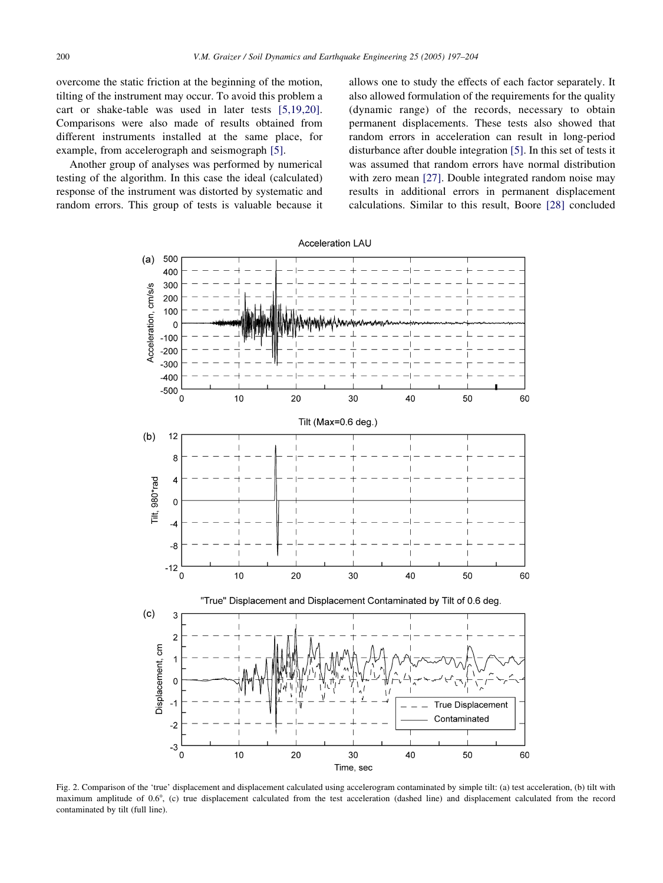<span id="page-3-0"></span>overcome the static friction at the beginning of the motion, tilting of the instrument may occur. To avoid this problem a cart or shake-table was used in later tests [\[5,19,20\]](#page-7-0). Comparisons were also made of results obtained from different instruments installed at the same place, for example, from accelerograph and seismograph [\[5\]](#page-7-0).

Another group of analyses was performed by numerical testing of the algorithm. In this case the ideal (calculated) response of the instrument was distorted by systematic and random errors. This group of tests is valuable because it allows one to study the effects of each factor separately. It also allowed formulation of the requirements for the quality (dynamic range) of the records, necessary to obtain permanent displacements. These tests also showed that random errors in acceleration can result in long-period disturbance after double integration [\[5\]](#page-7-0). In this set of tests it was assumed that random errors have normal distribution with zero mean [\[27\]](#page-7-0). Double integrated random noise may results in additional errors in permanent displacement calculations. Similar to this result, Boore [\[28\]](#page-7-0) concluded



Fig. 2. Comparison of the 'true' displacement and displacement calculated using accelerogram contaminated by simple tilt: (a) test acceleration, (b) tilt with maximum amplitude of 0.6°, (c) true displacement calculated from the test acceleration (dashed line) and displacement calculated from the record contaminated by tilt (full line).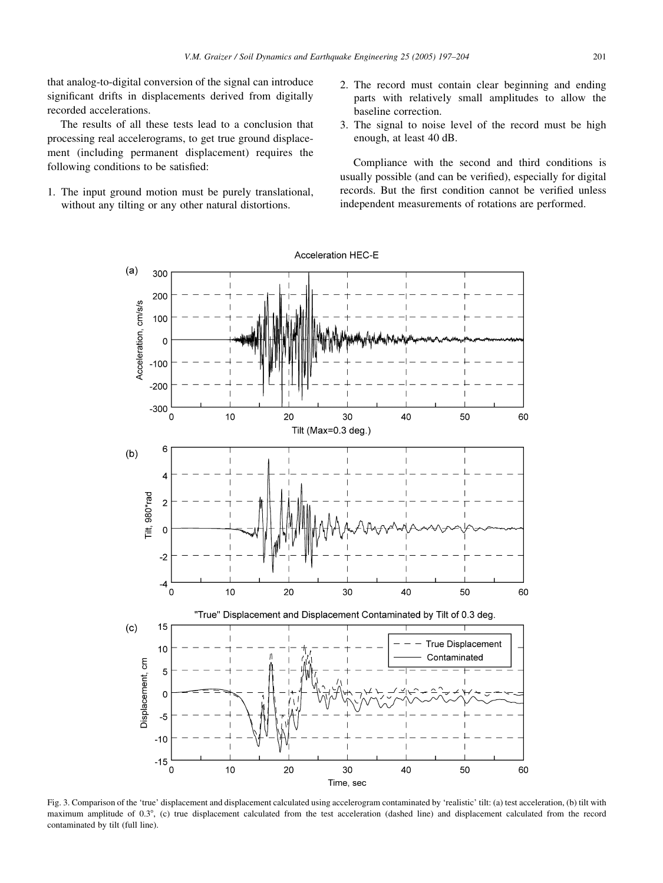<span id="page-4-0"></span>that analog-to-digital conversion of the signal can introduce significant drifts in displacements derived from digitally recorded accelerations.

The results of all these tests lead to a conclusion that processing real accelerograms, to get true ground displacement (including permanent displacement) requires the following conditions to be satisfied:

- 1. The input ground motion must be purely translational, without any tilting or any other natural distortions.
- 2. The record must contain clear beginning and ending parts with relatively small amplitudes to allow the baseline correction.
- 3. The signal to noise level of the record must be high enough, at least 40 dB.

Compliance with the second and third conditions is usually possible (and can be verified), especially for digital records. But the first condition cannot be verified unless independent measurements of rotations are performed.



Fig. 3. Comparison of the 'true' displacement and displacement calculated using accelerogram contaminated by 'realistic' tilt: (a) test acceleration, (b) tilt with maximum amplitude of 0.3°, (c) true displacement calculated from the test acceleration (dashed line) and displacement calculated from the record contaminated by tilt (full line).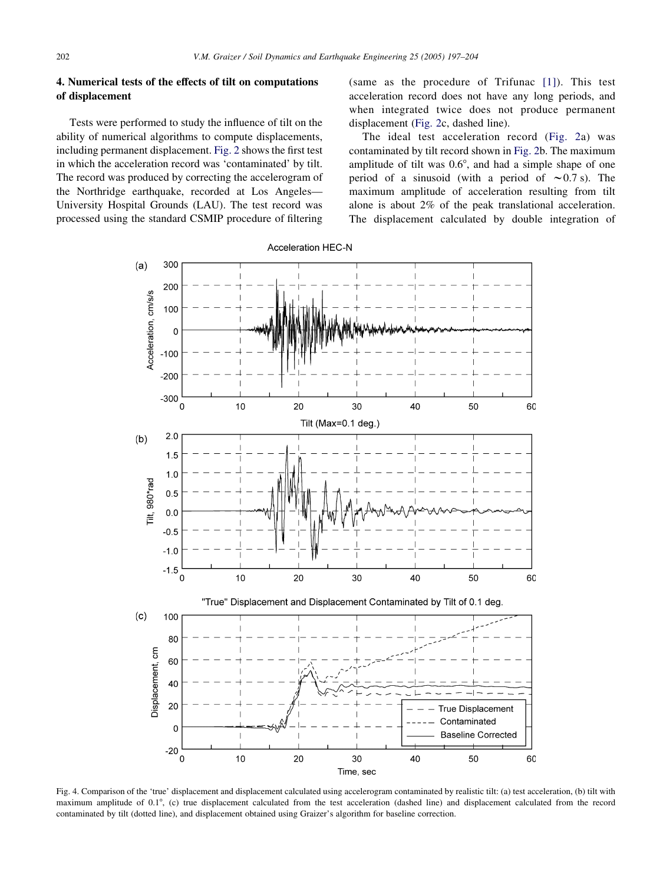## <span id="page-5-0"></span>4. Numerical tests of the effects of tilt on computations of displacement

Tests were performed to study the influence of tilt on the ability of numerical algorithms to compute displacements, including permanent displacement. [Fig. 2](#page-3-0) shows the first test in which the acceleration record was 'contaminated' by tilt. The record was produced by correcting the accelerogram of the Northridge earthquake, recorded at Los Angeles— University Hospital Grounds (LAU). The test record was processed using the standard CSMIP procedure of filtering

(same as the procedure of Trifunac [\[1\]\)](#page-7-0). This test acceleration record does not have any long periods, and when integrated twice does not produce permanent displacement ([Fig. 2c](#page-3-0), dashed line).

The ideal test acceleration record ([Fig. 2a](#page-3-0)) was contaminated by tilt record shown in [Fig. 2b](#page-3-0). The maximum amplitude of tilt was  $0.6^\circ$ , and had a simple shape of one period of a sinusoid (with a period of  $\sim 0.7$  s). The maximum amplitude of acceleration resulting from tilt alone is about 2% of the peak translational acceleration. The displacement calculated by double integration of



Fig. 4. Comparison of the 'true' displacement and displacement calculated using accelerogram contaminated by realistic tilt: (a) test acceleration, (b) tilt with maximum amplitude of 0.1°, (c) true displacement calculated from the test acceleration (dashed line) and displacement calculated from the record contaminated by tilt (dotted line), and displacement obtained using Graizer's algorithm for baseline correction.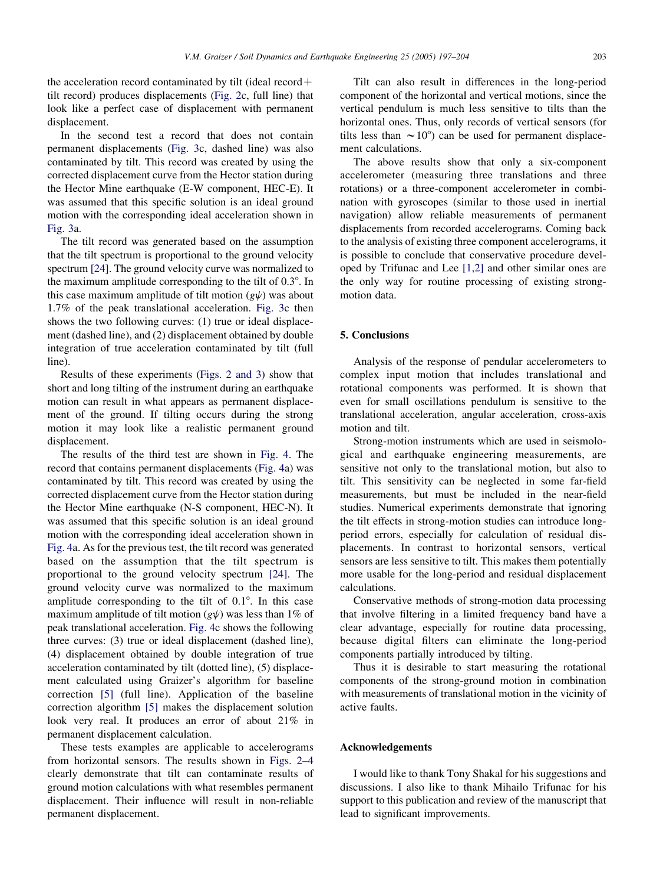the acceleration record contaminated by tilt (ideal record  $+$ tilt record) produces displacements ([Fig. 2c](#page-3-0), full line) that look like a perfect case of displacement with permanent displacement.

In the second test a record that does not contain permanent displacements ([Fig. 3](#page-4-0)c, dashed line) was also contaminated by tilt. This record was created by using the corrected displacement curve from the Hector station during the Hector Mine earthquake (E-W component, HEC-E). It was assumed that this specific solution is an ideal ground motion with the corresponding ideal acceleration shown in [Fig. 3](#page-4-0)a.

The tilt record was generated based on the assumption that the tilt spectrum is proportional to the ground velocity spectrum [\[24\].](#page-7-0) The ground velocity curve was normalized to the maximum amplitude corresponding to the tilt of  $0.3^\circ$ . In this case maximum amplitude of tilt motion  $(g\psi)$  was about 1.7% of the peak translational acceleration. [Fig. 3](#page-4-0)c then shows the two following curves: (1) true or ideal displacement (dashed line), and (2) displacement obtained by double integration of true acceleration contaminated by tilt (full line).

Results of these experiments ([Figs. 2 and 3\)](#page-3-0) show that short and long tilting of the instrument during an earthquake motion can result in what appears as permanent displacement of the ground. If tilting occurs during the strong motion it may look like a realistic permanent ground displacement.

The results of the third test are shown in [Fig. 4](#page-5-0). The record that contains permanent displacements [\(Fig. 4a](#page-5-0)) was contaminated by tilt. This record was created by using the corrected displacement curve from the Hector station during the Hector Mine earthquake (N-S component, HEC-N). It was assumed that this specific solution is an ideal ground motion with the corresponding ideal acceleration shown in [Fig. 4](#page-5-0)a. As for the previous test, the tilt record was generated based on the assumption that the tilt spectrum is proportional to the ground velocity spectrum [\[24\]](#page-7-0). The ground velocity curve was normalized to the maximum amplitude corresponding to the tilt of  $0.1^\circ$ . In this case maximum amplitude of tilt motion  $(g\psi)$  was less than 1% of peak translational acceleration. [Fig. 4](#page-5-0)c shows the following three curves: (3) true or ideal displacement (dashed line), (4) displacement obtained by double integration of true acceleration contaminated by tilt (dotted line), (5) displacement calculated using Graizer's algorithm for baseline correction [\[5\]](#page-7-0) (full line). Application of the baseline correction algorithm [\[5\]](#page-7-0) makes the displacement solution look very real. It produces an error of about 21% in permanent displacement calculation.

These tests examples are applicable to accelerograms from horizontal sensors. The results shown in [Figs. 2–4](#page-3-0) clearly demonstrate that tilt can contaminate results of ground motion calculations with what resembles permanent displacement. Their influence will result in non-reliable permanent displacement.

Tilt can also result in differences in the long-period component of the horizontal and vertical motions, since the vertical pendulum is much less sensitive to tilts than the horizontal ones. Thus, only records of vertical sensors (for tilts less than  $\sim 10^{\circ}$  can be used for permanent displacement calculations.

The above results show that only a six-component accelerometer (measuring three translations and three rotations) or a three-component accelerometer in combination with gyroscopes (similar to those used in inertial navigation) allow reliable measurements of permanent displacements from recorded accelerograms. Coming back to the analysis of existing three component accelerograms, it is possible to conclude that conservative procedure developed by Trifunac and Lee [\[1,2\]](#page-7-0) and other similar ones are the only way for routine processing of existing strongmotion data.

## 5. Conclusions

Analysis of the response of pendular accelerometers to complex input motion that includes translational and rotational components was performed. It is shown that even for small oscillations pendulum is sensitive to the translational acceleration, angular acceleration, cross-axis motion and tilt.

Strong-motion instruments which are used in seismological and earthquake engineering measurements, are sensitive not only to the translational motion, but also to tilt. This sensitivity can be neglected in some far-field measurements, but must be included in the near-field studies. Numerical experiments demonstrate that ignoring the tilt effects in strong-motion studies can introduce longperiod errors, especially for calculation of residual displacements. In contrast to horizontal sensors, vertical sensors are less sensitive to tilt. This makes them potentially more usable for the long-period and residual displacement calculations.

Conservative methods of strong-motion data processing that involve filtering in a limited frequency band have a clear advantage, especially for routine data processing, because digital filters can eliminate the long-period components partially introduced by tilting.

Thus it is desirable to start measuring the rotational components of the strong-ground motion in combination with measurements of translational motion in the vicinity of active faults.

### Acknowledgements

I would like to thank Tony Shakal for his suggestions and discussions. I also like to thank Mihailo Trifunac for his support to this publication and review of the manuscript that lead to significant improvements.